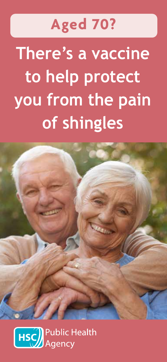# **Aged 70?**

**There's a vaccine to help protect you from the pain of shingles**



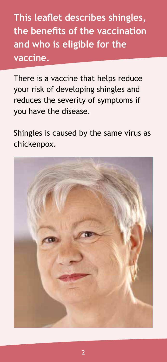**This leaflet describes shingles, the benefits of the vaccination and who is eligible for the vaccine.**

There is a vaccine that helps reduce your risk of developing shingles and reduces the severity of symptoms if you have the disease.

Shingles is caused by the same virus as chickenpox.

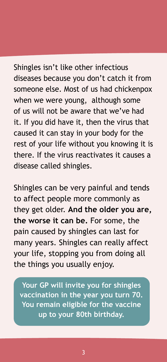Shingles isn't like other infectious diseases because you don't catch it from someone else. Most of us had chickenpox when we were young, although some of us will not be aware that we've had it. If you did have it, then the virus that caused it can stay in your body for the rest of your life without you knowing it is there. If the virus reactivates it causes a disease called shingles.

Shingles can be very painful and tends to affect people more commonly as they get older. **And the older you are, the worse it can be.** For some, the pain caused by shingles can last for many years. Shingles can really affect your life, stopping you from doing all the things you usually enjoy.

**Your GP will invite you for shingles vaccination in the year you turn 70. You remain eligible for the vaccine up to your 80th birthday.**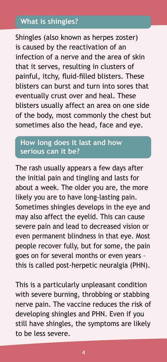## **What is shingles?**

Shingles (also known as herpes zoster) is caused by the reactivation of an infection of a nerve and the area of skin that it serves, resulting in clusters of painful, itchy, fluid-filled blisters. These blisters can burst and turn into sores that eventually crust over and heal. These blisters usually affect an area on one side of the body, most commonly the chest but sometimes also the head, face and eye.

# **How long does it last and how serious can it be?**

The rash usually appears a few days after the initial pain and tingling and lasts for about a week. The older you are, the more likely you are to have long-lasting pain. Sometimes shingles develops in the eye and may also affect the eyelid. This can cause severe pain and lead to decreased vision or even permanent blindness in that eye. Most people recover fully, but for some, the pain goes on for several months or even years – this is called post-herpetic neuralgia (PHN).

This is a particularly unpleasant condition with severe burning, throbbing or stabbing nerve pain. The vaccine reduces the risk of developing shingles and PHN. Even if you still have shingles, the symptoms are likely to be less severe.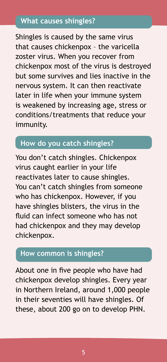# **What causes shingles?**

Shingles is caused by the same virus that causes chickenpox – the varicella zoster virus. When you recover from chickenpox most of the virus is destroyed but some survives and lies inactive in the nervous system. It can then reactivate later in life when your immune system is weakened by increasing age, stress or conditions/treatments that reduce your immunity.

# **How do you catch shingles?**

You don't catch shingles. Chickenpox virus caught earlier in your life reactivates later to cause shingles. You can't catch shingles from someone who has chickenpox. However, if you have shingles blisters, the virus in the fluid can infect someone who has not had chickenpox and they may develop chickenpox.

## **How common is shingles?**

About one in five people who have had chickenpox develop shingles. Every year in Northern Ireland, around 1,000 people in their seventies will have shingles. Of these, about 200 go on to develop PHN.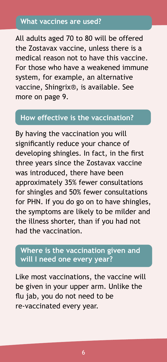#### **What vaccines are used?**

All adults aged 70 to 80 will be offered the Zostavax vaccine, unless there is a medical reason not to have this vaccine. For those who have a weakened immune system, for example, an alternative vaccine, Shingrix®, is available. See more on page 9.

#### **How effective is the vaccination?**

By having the vaccination you will significantly reduce your chance of developing shingles. In fact, in the first three years since the Zostavax vaccine was introduced, there have been approximately 35% fewer consultations for shingles and 50% fewer consultations for PHN. If you do go on to have shingles, the symptoms are likely to be milder and the illness shorter, than if you had not had the vaccination.

# **Where is the vaccination given and will I need one every year?**

Like most vaccinations, the vaccine will be given in your upper arm. Unlike the flu jab, you do not need to be re-vaccinated every year.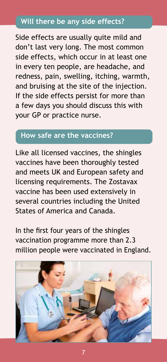# **Will there be any side effects?**

Side effects are usually quite mild and don't last very long. The most common side effects, which occur in at least one in every ten people, are headache, and redness, pain, swelling, itching, warmth, and bruising at the site of the injection. If the side effects persist for more than a few days you should discuss this with your GP or practice nurse.

# **How safe are the vaccines?**

Like all licensed vaccines, the shingles vaccines have been thoroughly tested and meets UK and European safety and licensing requirements. The Zostavax vaccine has been used extensively in several countries including the United States of America and Canada.

In the first four years of the shingles vaccination programme more than 2.3 million people were vaccinated in England.



7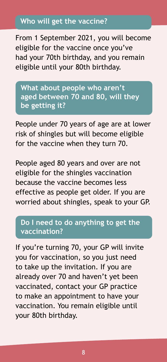# **Who will get the vaccine?**

From 1 September 2021, you will become eligible for the vaccine once you've had your 70th birthday, and you remain eligible until your 80th birthday.

**What about people who aren't aged between 70 and 80, will they be getting it?**

People under 70 years of age are at lower risk of shingles but will become eligible for the vaccine when they turn 70.

People aged 80 years and over are not eligible for the shingles vaccination because the vaccine becomes less effective as people get older. If you are worried about shingles, speak to your GP.

#### **Do I need to do anything to get the vaccination?**

If you're turning 70, your GP will invite you for vaccination, so you just need to take up the invitation. If you are already over 70 and haven't yet been vaccinated, contact your GP practice to make an appointment to have your vaccination. You remain eligible until your 80th birthday.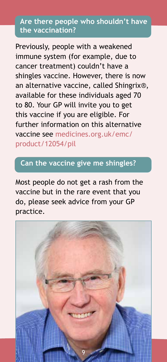## **Are there people who shouldn't have the vaccination?**

Previously, people with a weakened immune system (for example, due to cancer treatment) couldn't have a shingles vaccine. However, there is now an alternative vaccine, called Shingrix®, available for these individuals aged 70 to 80. Your GP will invite you to get this vaccine if you are eligible. For further information on this alternative vaccine see medicines.org.uk/emc/ product/12054/pil

# **Can the vaccine give me shingles?**

Most people do not get a rash from the vaccine but in the rare event that you do, please seek advice from your GP practice.

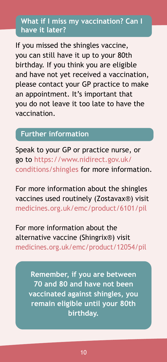# **What if I miss my vaccination? Can I have it later?**

If you missed the shingles vaccine, you can still have it up to your 80th birthday. If you think you are eligible and have not yet received a vaccination, please contact your GP practice to make an appointment. It's important that you do not leave it too late to have the vaccination.

# **Further information**

Speak to your GP or practice nurse, or go to https://www.nidirect.gov.uk/ conditions/shingles for more information.

For more information about the shingles vaccines used routinely (Zostavax®) visit medicines.org.uk/emc/product/6101/pil

For more information about the alternative vaccine (Shingrix®) visit medicines.org.uk/emc/product/12054/pil

**Remember, if you are between 70 and 80 and have not been vaccinated against shingles, you remain eligible until your 80th birthday.**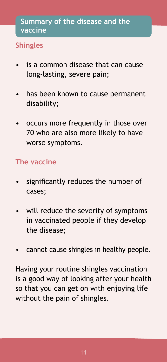# **Shingles**

- is a common disease that can cause long-lasting, severe pain;
- has been known to cause permanent disability;
- occurs more frequently in those over 70 who are also more likely to have worse symptoms.

# **The vaccine**

- significantly reduces the number of cases;
- will reduce the severity of symptoms in vaccinated people if they develop the disease;
- cannot cause shingles in healthy people.

Having your routine shingles vaccination is a good way of looking after your health so that you can get on with enjoying life without the pain of shingles.